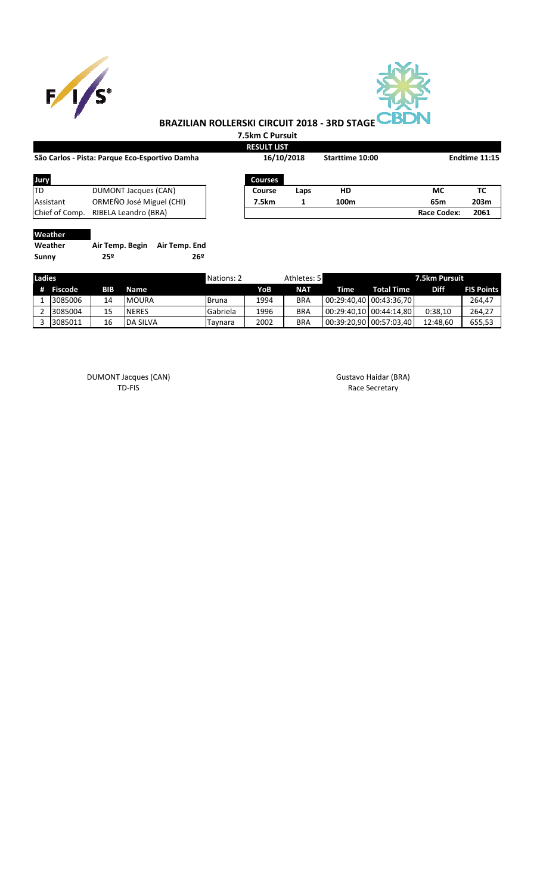



## **BRAZILIAN ROLLERSKI CIRCUIT 2018 - 3RD STAGE**

**7.5km C Pursuit**

|                                                |                          |                 | <b>RESULT LIST</b> |      |                  |                    |      |
|------------------------------------------------|--------------------------|-----------------|--------------------|------|------------------|--------------------|------|
| São Carlos - Pista: Parque Eco-Esportivo Damha |                          |                 | 16/10/2018         |      | Starttime 10:00  | Endtime 11:15      |      |
| Jury                                           |                          |                 | <b>Courses</b>     |      |                  |                    |      |
| TD                                             | DUMONT Jacques (CAN)     |                 | Course             | Laps | HD               | МC                 | ТC   |
| Assistant                                      | ORMEÑO José Miguel (CHI) |                 | 7.5km              |      | 100 <sub>m</sub> | 65m                | 203m |
| Chief of Comp.                                 | RIBELA Leandro (BRA)     |                 |                    |      |                  | <b>Race Codex:</b> | 2061 |
| Weather                                        |                          |                 |                    |      |                  |                    |      |
| Weather                                        | Air Temp. Begin          | Air Temp. End   |                    |      |                  |                    |      |
| Sunny                                          | 25º                      | 26 <sup>°</sup> |                    |      |                  |                    |      |

| Ladies |         |     |                 | Nations: 2 |      | Athletes: 5<br>7.5km Pursuit |      |                         |             |                   |
|--------|---------|-----|-----------------|------------|------|------------------------------|------|-------------------------|-------------|-------------------|
| #      | Fiscode | BIB | Name            |            | YoB  | <b>NAT</b>                   | Time | <b>Total Time</b>       | <b>Diff</b> | <b>FIS Points</b> |
|        | 3085006 | 14  | <b>MOURA</b>    | Bruna      | 1994 | <b>BRA</b>                   |      | 00:29:40.40 00:43:36.70 |             | 264,47            |
|        | 3085004 | 15  | <b>NERES</b>    | Gabriela   | 1996 | <b>BRA</b>                   |      | 00:29:40.10 00:44:14.80 | 0:38.10     | 264,27            |
|        | 3085011 | 16  | <b>DA SILVA</b> | Tavnara    | 2002 | <b>BRA</b>                   |      | 00:39:20.90 00:57:03.40 | 12:48.60    | 655,53            |

DUMONT Jacques (CAN) and the control of the Gustavo Haidar (BRA) control of the Gustavo Haidar (BRA) TD-FIS Race Secretary